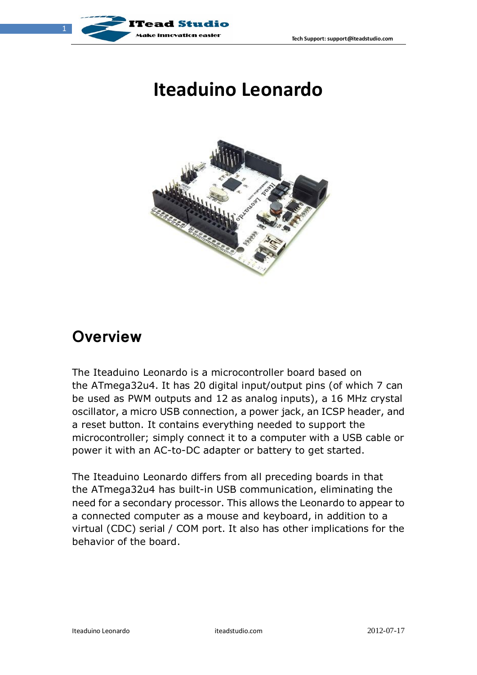

## **Iteaduino Leonardo**



#### **Overview**

The Iteaduino Leonardo is a microcontroller board based on the ATmega32u4. It has 20 digital input/output pins (of which 7 can be used as PWM outputs and 12 as analog inputs), a 16 MHz crystal oscillator, a micro USB connection, a power jack, an ICSP header, and a reset button. It contains everything needed to support the microcontroller; simply connect it to a computer with a USB cable or power it with an AC-to-DC adapter or battery to get started.

The Iteaduino Leonardo differs from all preceding boards in that the ATmega32u4 has built-in USB communication, eliminating the need for a secondary processor. This allows the Leonardo to appear to a connected computer as a mouse and keyboard, in addition to a virtual (CDC) serial / COM port. It also has other implications for the behavior of the board.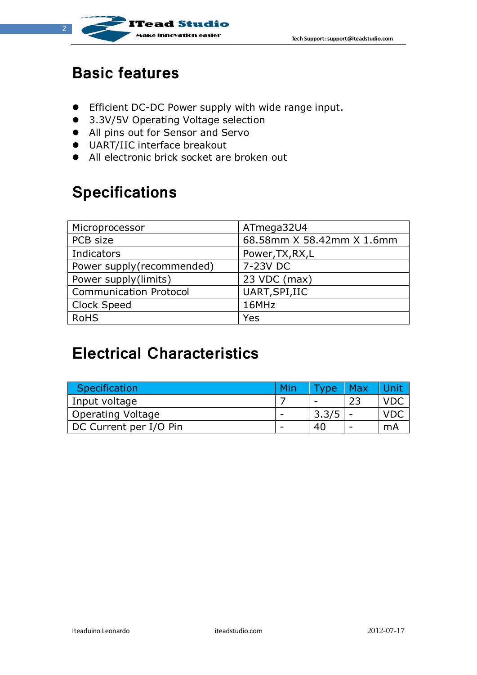

#### **Basic features**

 $\overline{2}$ 

- Efficient DC-DC Power supply with wide range input.
- 3.3V/5V Operating Voltage selection
- All pins out for Sensor and Servo
- UART/IIC interface breakout
- All electronic brick socket are broken out

**Tead Studio** 

## **Specifications**

| Microprocessor                | ATmega32U4                |
|-------------------------------|---------------------------|
| PCB size                      | 68.58mm X 58.42mm X 1.6mm |
| Indicators                    | Power, TX, RX, L          |
| Power supply(recommended)     | 7-23V DC                  |
| Power supply(limits)          | 23 VDC (max)              |
| <b>Communication Protocol</b> | UART, SPI, IIC            |
| <b>Clock Speed</b>            | 16MHz                     |
| <b>RoHS</b>                   | Yes                       |

## **Electrical Characteristics**

| Specification          | Min | <b>VDe</b> | Max |    |
|------------------------|-----|------------|-----|----|
| Input voltage          |     |            |     |    |
| Operating Voltage      |     | 3.3/5      |     |    |
| DC Current per I/O Pin |     | 40         |     | mА |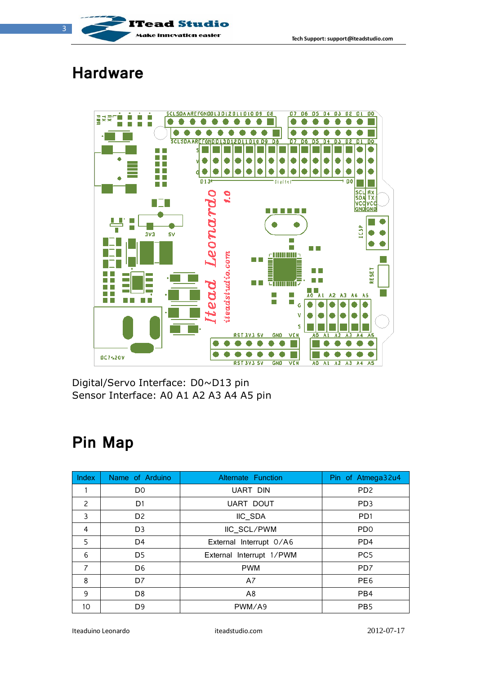

#### **Hardware**



Digital/Servo Interface: D0~D13 pin Sensor Interface: A0 A1 A2 A3 A4 A5 pin

## **Pin Map**

| Index          | Name of Arduino | <b>Alternate Function</b> | Pin of Atmega32u4           |
|----------------|-----------------|---------------------------|-----------------------------|
|                | D <sub>0</sub>  | UART DIN                  | PD <sub>2</sub>             |
| $\overline{c}$ | D1              | <b>UART DOUT</b>          | PD <sub>3</sub>             |
| 3              | D <sub>2</sub>  | IIC_SDA                   | P <sub>D</sub> 1            |
| 4              | D <sub>3</sub>  | IIC SCL/PWM               | P <sub>D</sub> <sup>O</sup> |
| 5              | D <sub>4</sub>  | External Interrupt 0/A6   | PD4                         |
| 6              | D <sub>5</sub>  | External Interrupt 1/PWM  | PC <sub>5</sub>             |
| $\overline{7}$ | D <sub>6</sub>  | <b>PWM</b>                | PD <sub>7</sub>             |
| 8              | D7              | A7                        | PE <sub>6</sub>             |
| 9              | D <sub>8</sub>  | A <sub>8</sub>            | PB4                         |
| 10             | D <sub>9</sub>  | PWM/A9                    | PB <sub>5</sub>             |

Iteaduino Leonardo iteadstudio.com 2012-07-17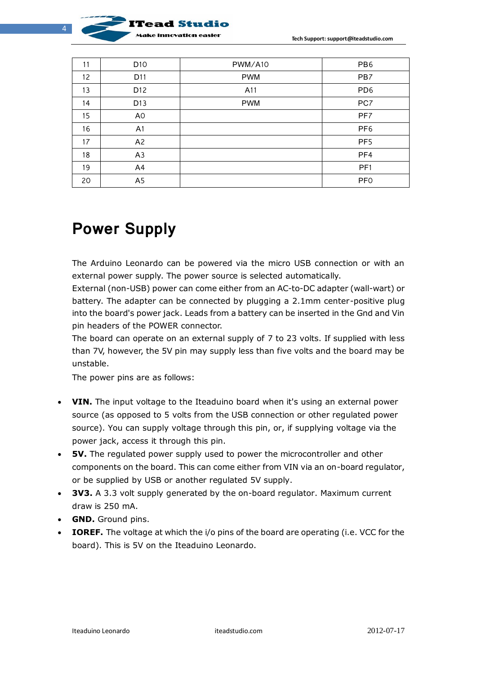

| 11 | D <sub>10</sub> | PWM/A10    | PB <sub>6</sub> |
|----|-----------------|------------|-----------------|
| 12 | D11             | <b>PWM</b> | PB7             |
| 13 | D <sub>12</sub> | A11        | PD <sub>6</sub> |
| 14 | D <sub>13</sub> | <b>PWM</b> | PC7             |
| 15 | A <sub>0</sub>  |            | PF7             |
| 16 | A <sub>1</sub>  |            | PF <sub>6</sub> |
| 17 | A <sub>2</sub>  |            | PF <sub>5</sub> |
| 18 | A3              |            | PF4             |
| 19 | A4              |            | PF <sub>1</sub> |
| 20 | A <sub>5</sub>  |            | <b>PFO</b>      |

### **Power Supply**

The Arduino Leonardo can be powered via the micro USB connection or with an external power supply. The power source is selected automatically.

External (non-USB) power can come either from an AC-to-DC adapter (wall-wart) or battery. The adapter can be connected by plugging a 2.1mm center-positive plug into the board's power jack. Leads from a battery can be inserted in the Gnd and Vin pin headers of the POWER connector.

The board can operate on an external supply of 7 to 23 volts. If supplied with less than 7V, however, the 5V pin may supply less than five volts and the board may be unstable.

The power pins are as follows:

- **VIN.** The input voltage to the Iteaduino board when it's using an external power source (as opposed to 5 volts from the USB connection or other regulated power source). You can supply voltage through this pin, or, if supplying voltage via the power jack, access it through this pin.
- **5V.** The regulated power supply used to power the microcontroller and other components on the board. This can come either from VIN via an on-board regulator, or be supplied by USB or another regulated 5V supply.
- **3V3.** A 3.3 volt supply generated by the on-board regulator. Maximum current draw is 250 mA.
- **GND.** Ground pins.
- **IOREF.** The voltage at which the i/o pins of the board are operating (i.e. VCC for the board). This is 5V on the Iteaduino Leonardo.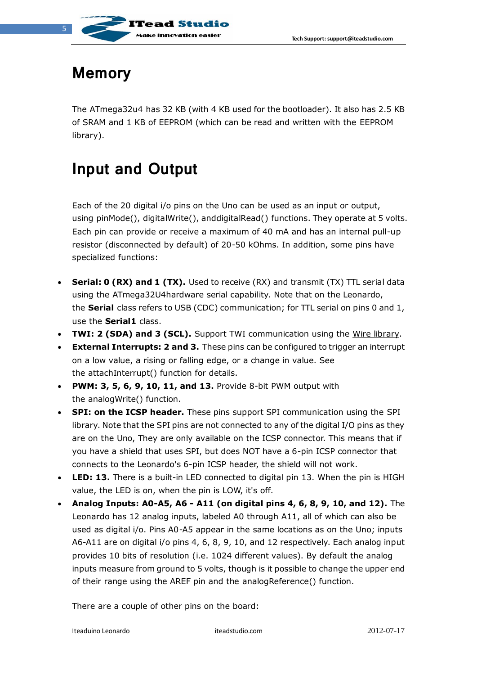

### **Memory**

The ATmega32u4 has 32 KB (with 4 KB used for the bootloader). It also has 2.5 KB of SRAM and 1 KB of EEPROM (which can be read and written with the [EEPROM](http://www.arduino.cc/en/Reference/EEPROM)  [library\)](http://www.arduino.cc/en/Reference/EEPROM).

## **Input and Output**

Each of the 20 digital i/o pins on the Uno can be used as an input or output, using [pinMode\(\),](http://arduino.cc/en/Reference/PinMode) [digitalWrite\(\),](http://arduino.cc/en/Reference/DigitalWrite) an[ddigitalRead\(\)](http://arduino.cc/en/Reference/DigitalRead) functions. They operate at 5 volts. Each pin can provide or receive a maximum of 40 mA and has an internal pull-up resistor (disconnected by default) of 20-50 kOhms. In addition, some pins have specialized functions:

- **Serial: 0 (RX) and 1 (TX).** Used to receive (RX) and transmit (TX) TTL serial data using the ATmega32U4hardware serial capability. Note that on the Leonardo, the **Serial** class refers to USB (CDC) communication; for TTL serial on pins 0 and 1, use the **Serial1** class.
- **TWI: 2 (SDA) and 3 (SCL).** Support TWI communication using the [Wire library.](http://arduino.cc/en/Reference/Wire)
- **External Interrupts: 2 and 3.** These pins can be configured to trigger an interrupt on a low value, a rising or falling edge, or a change in value. See the [attachInterrupt\(\)](http://arduino.cc/en/Reference/AttachInterrupt) function for details.
- **PWM: 3, 5, 6, 9, 10, 11, and 13.** Provide 8-bit PWM output with the [analogWrite\(\)](http://arduino.cc/en/Reference/AnalogWrite) function.
- **SPI: on the ICSP header.** These pins support SPI communication using the [SPI](http://arduino.cc/en/Reference/SPI)  [library.](http://arduino.cc/en/Reference/SPI) Note that the SPI pins are not connected to any of the digital I/O pins as they are on the Uno, They are only available on the ICSP connector. This means that if you have a shield that uses SPI, but does NOT have a 6-pin ICSP connector that connects to the Leonardo's 6-pin ICSP header, the shield will not work.
- **LED: 13.** There is a built-in LED connected to digital pin 13. When the pin is HIGH value, the LED is on, when the pin is LOW, it's off.
- **Analog Inputs: A0-A5, A6 - A11 (on digital pins 4, 6, 8, 9, 10, and 12).** The Leonardo has 12 analog inputs, labeled A0 through A11, all of which can also be used as digital i/o. Pins A0-A5 appear in the same locations as on the Uno; inputs A6-A11 are on digital i/o pins 4, 6, 8, 9, 10, and 12 respectively. Each analog input provides 10 bits of resolution (i.e. 1024 different values). By default the analog inputs measure from ground to 5 volts, though is it possible to change the upper end of their range using the AREF pin and the [analogReference\(](http://arduino.cc/en/Reference/AnalogReference)) function.

There are a couple of other pins on the board: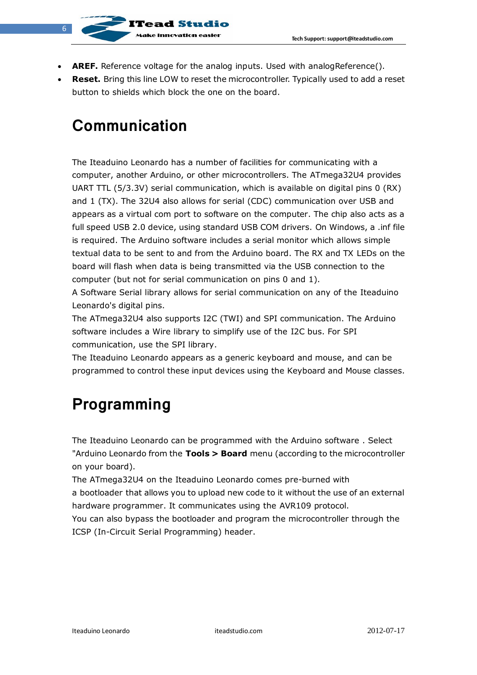**AREF.** Reference voltage for the analog inputs. Used with analogReference().

innovation eacles

 **Reset.** Bring this line LOW to reset the microcontroller. Ty[pically used to add](http://arduino.cc/en/Reference/AnalogReference) a reset button to shields which block the one on the board.

### **Communication**

The Iteaduino Leonardo has a number of facilities for communicating with a computer, another Arduino, or other microcontrollers. The ATmega32U4 provides UART TTL (5/3.3V) serial communication, which is available on digital pins 0 (RX) and 1 (TX). The 32U4 also allows for serial (CDC) communication over USB and appears as a virtual com port to software on the computer. The chip also acts as a full speed USB 2.0 device, using standard USB COM drivers. [On Windows, a .inf file](http://arduino.cc/en/Guide/Windows#toc4)  [is required.](http://arduino.cc/en/Guide/Windows#toc4) The Arduino software includes a serial monitor which allows simple textual data to be sent to and from the Arduino board. The RX and TX LEDs on the board will flash when data is being transmitted via the USB connection to the computer (but not for serial communication on pins 0 and 1).

A Software [Serial library](http://www.arduino.cc/en/Reference/SoftwareSerial) allows for serial communication on any of the Iteaduino Leonardo's digital pins.

The ATmega32U4 also supports I2C (TWI) and SPI communication. The Arduino software includes a Wire library to simplify use of the I2C bus. For SPI communication, use the [SPI library.](http://arduino.cc/en/Reference/SPI)

The Iteaduino Leonardo appears as a generic keyboard and mouse, and can be programmed to control these input devices using the [Keyboard and Mouse](http://arduino.cc/en/Reference/MouseKeyboard) classes.

## **Programming**

The Iteaduino Leonardo can be programmed with the Arduino software . Select "Arduino Leonardo from the **Tools > Board** menu (according to the microcontroller on your board).

The ATmega32U4 on the Iteaduino Leonardo comes pre-burned with a [bootloader](http://arduino.cc/en/Tutorial/Bootloader) that allows you to upload new code to it without the use of an external hardware programmer. It communicates using the AVR109 protocol.

You can also bypass the bootloader and program the microcontroller through the ICSP (In-Circuit Serial Programming) header.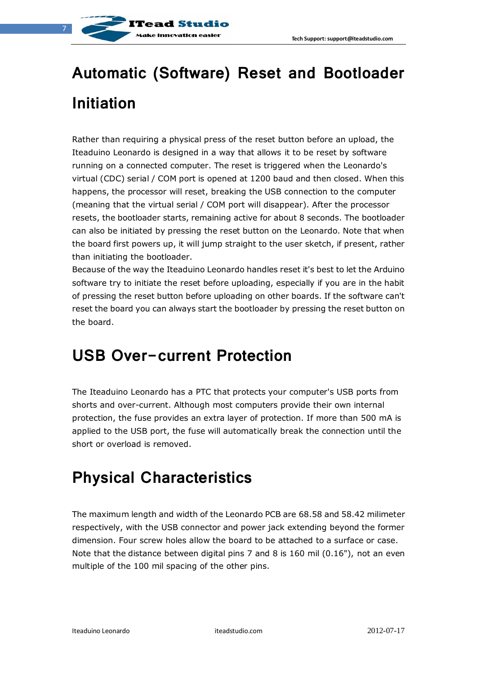

# **Automatic (Software) Reset and Bootloader Initiation**

Rather than requiring a physical press of the reset button before an upload, the Iteaduino Leonardo is designed in a way that allows it to be reset by software running on a connected computer. The reset is triggered when the Leonardo's virtual (CDC) serial / COM port is opened at 1200 baud and then closed. When this happens, the processor will reset, breaking the USB connection to the computer (meaning that the virtual serial / COM port will disappear). After the processor resets, the bootloader starts, remaining active for about 8 seconds. The bootloader can also be initiated by pressing the reset button on the Leonardo. Note that when the board first powers up, it will jump straight to the user sketch, if present, rather than initiating the bootloader.

Because of the way the Iteaduino Leonardo handles reset it's best to let the Arduino software try to initiate the reset before uploading, especially if you are in the habit of pressing the reset button before uploading on other boards. If the software can't reset the board you can always start the bootloader by pressing the reset button on the board.

#### **USB Over-current Protection**

The Iteaduino Leonardo has a PTC that protects your computer's USB ports from shorts and over-current. Although most computers provide their own internal protection, the fuse provides an extra layer of protection. If more than 500 mA is applied to the USB port, the fuse will automatically break the connection until the short or overload is removed.

## **Physical Characteristics**

The maximum length and width of the Leonardo PCB are 68.58 and 58.42 milimeter respectively, with the USB connector and power jack extending beyond the former dimension. Four screw holes allow the board to be attached to a surface or case. Note that the distance between digital pins 7 and 8 is 160 mil (0.16"), not an even multiple of the 100 mil spacing of the other pins.